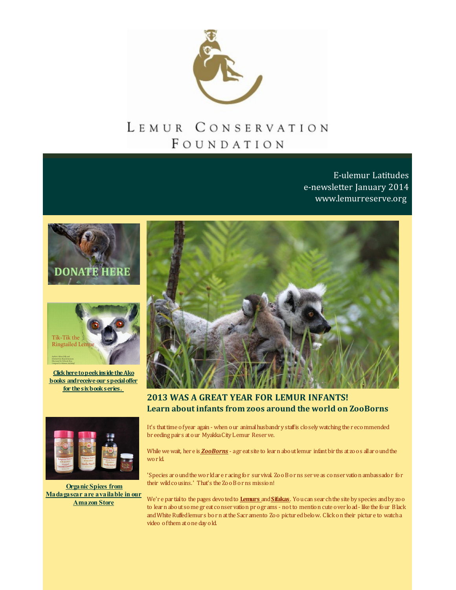

## LEMUR CONSERVATION FOUNDATION

**E-ulemur Latitudes** e-newsletter January 2014 www.lemurreserve.org





Click here to peek inside the Ako **books** and receive our special offer for the six book series.



**2013 WAS A GREAT YEAR FOR LEMUR INFANTS!** Learn about infants from zoos around the world on ZooBorns



**Organic Spices from** Madagascar are available in our **Amazon Store** 

It's that time of year again - when our animal husbandry staff is closely watching the recommended breeding pairs at our Myakka City Lemur Reserve.

While we wait, her e is **ZooBorns** - agr eat site to lear n about lemur infant bir ths at zo os all ar ound the world.

'Species around the world are racing for survival. Zoo Borns serve as conservation ambassador for their wild cousins.' That's the Zoo Borns mission!

We're partial to the pages devoted to Lemurs and Sifakas. You can sear ch the site by species and by zoo to learn about some great conservation programs - not to mention cute over load - like the four Black and White Ruffed lemurs born at the Sacramento Zoo pictured below. Click on their picture to watch a video of them at one day old.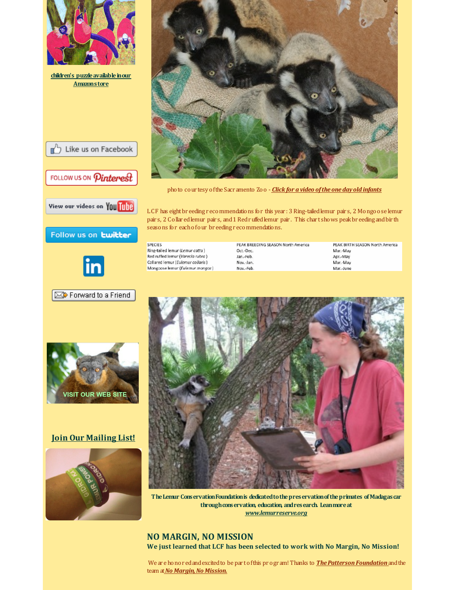







photo cour tesy ofthe Sacr amento Zoo - *Click for a video ofthe one day old [infants](http://r20.rs6.net/tn.jsp?f=001e9oCym9nfXmvSGoIAHaXu6ziK_u4J40HZkUuyp2q1AsbZCr8yMnFXTWHVf5dl2yuZ6xgrFT6xGYbvznrOhhd2buD4qoVAgvWUh1gtyBm621QYvuV2QUXpKEWB6yHCCjVviXBwwW75J9v_wA10IYj4G92LkSK2xHlVU24renXuN2D2KJdefDTZg==&c=&ch=)*

LCF has eight breeding recommendations for this year : 3 Ring-tailed lemur pair s, 2 Mongoose lemur pair s, 2 Collar edlemur pair s, and1 Redruffedlemur pair . This char t shows peakbr eeding andbir th seasons for eachofour br eeding r ecommendations.

**SPECIES** Ring-tailed lemur (Lemur catta) Red ruffed lemur (Varecia rubra) Collared lemur (Eulemur collaris) Mongoose lemur (Eulemur mongoz)

| PEAK BREEDING SEASON North America |
|------------------------------------|
|                                    |
| Oct.-Dec.                          |
| Jan.-Feb.                          |
| Nov.-Jan.                          |
| Nov.-Feb.                          |
|                                    |

PEAK BIRTH SEASON North America Mar.-May Apr.-May Mar.-May Mar.-June



**TheLemur ConservationFoundationis dedicatedtothepreservationoftheprimates ofMadagascar throughconservation, education, andresearch. Leanmoreat** *[www.lemurreserve.org](http://r20.rs6.net/tn.jsp?f=001e9oCym9nfXmvSGoIAHaXu6ziK_u4J40HZkUuyp2q1AsbZCr8yMnFXU2uUs5peU111b-FO9CUQzplmSa3coLLZ6ZBshPMz3Xbyta5gTFIU9P1otNYtDPJ0lPCLe7xgxXRUrhCD-J63CpVCWmFaMurQLsVxRBPR7XT0Zk78spNEuA=&c=&ch=)*

**NO MARGIN, NO MISSION We just learned that LCF has been selected to work with No Margin, No Mission!**

We are honor ed and excited to be part of this program! Thanks to **The Patterson Foundation** and the team at *No Margin*, No Mission.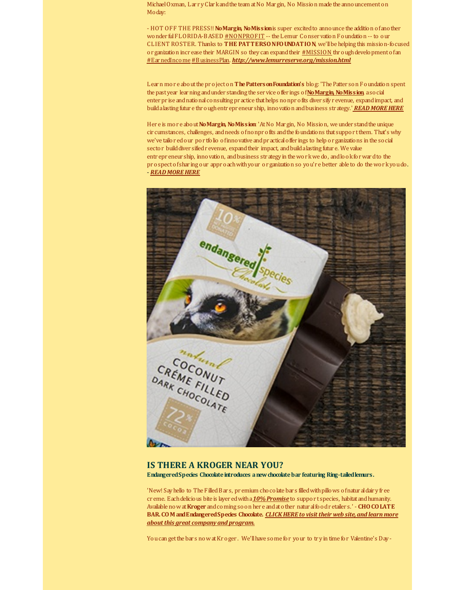Michael Oxman, Lar ry Clar kand the team at No Mar gin, No Mission made the announcement on Moday:

- HOT OFF THE PRESS!! **NoMargin, NoMission**is super excitedto announce the addition ofanother wonder ful FLORIDA-BASED [#NONPROFIT](http://r20.rs6.net/tn.jsp?f=001e9oCym9nfXmvSGoIAHaXu6ziK_u4J40HZkUuyp2q1AsbZCr8yMnFXTWHVf5dl2yuNgkh5T4uCFMI2e0LOInFOmgCweg04BFvwzo-dqjUtPWxuK07KKU3NY2PmNgYJZI3t1I9EzxX0ga31ID6aBZ8yo1d1446sXqFxbs6nsb5KR0x2Ky5WyTMjj0qHuNDJHE1UdxnFI0bzxE=&c=&ch=) -- the Lemur Conservation Foundation -- to our CLIENT ROSTER. Thanks to **THE PATTERSONFOUNDATION**, we'llbe helping this mission-focused or ganization incr ease their MARGIN so they can expand their  $\#MISSION$  $\#MISSION$  thr ough development of an [#EarnedIncome](http://r20.rs6.net/tn.jsp?f=001e9oCym9nfXmvSGoIAHaXu6ziK_u4J40HZkUuyp2q1AsbZCr8yMnFXTWHVf5dl2yud3lTmBQCgMD4hWpB3wr4B45KVN9Zaedi2zvPJLZcFoSvwkt-EAsluFghlOCUzoh12DSKDn14Mq8ks8lpkSovTohzyoBFFmB556Ssc6yKetHxSYaB-vbXEjg-0qjwfGhJtjq8gWODT5w=&c=&ch=)[#BusinessPlan](http://r20.rs6.net/tn.jsp?f=001e9oCym9nfXmvSGoIAHaXu6ziK_u4J40HZkUuyp2q1AsbZCr8yMnFXTWHVf5dl2yu3tNzaFFHcTNzDE1ngTUrdt0QxsZlY9A3hLirDqVDwBGTXRDc8q8vk51LEcXYKFFH7CjADfn58uXa56MGAoLkbIa0UChxAUMr3lxK6FbIv3FS65-RMbo1Gid6zhZupTgWg0qFlEYusGw=&c=&ch=). *[http://www.lemurreserve.org/mission.html](http://r20.rs6.net/tn.jsp?f=001e9oCym9nfXmvSGoIAHaXu6ziK_u4J40HZkUuyp2q1AsbZCr8yMnFXTWHVf5dl2yu0waVKg2NeNA35FGnPsvi_igaYDT7-pZtZiJp9LGI5qHBfKA8c82deh370Zsm4RFOIEWfBqCqwWxQc_teCcpwRAuAH074-R2sanMX7LdDS38Z9jjT1fZlG4BSAu8fZRzE&c=&ch=)*

Learn mor e aboutthe pr ojecton **ThePattersonFoundation's** blog: 'The Patter son Foundation spent the pastyear learning andunder standing the ser vice offer ings of**[NoMargin,](http://r20.rs6.net/tn.jsp?f=001e9oCym9nfXmvSGoIAHaXu6ziK_u4J40HZkUuyp2q1AsbZCr8yMnFXTWHVf5dl2yuGf_N2awyD9QE6vIMcs51ccZ6XIoPiIqzxxSi0wxIvnzoCRUbtMtnS97XHnJjrjblisHMykichdkyOcS7U_70YwotHjF4GER_gdo-B01o8O6tP-F5TNhiJw==&c=&ch=) NoMission**, asocial enter prise and national consulting practice that helps nonprofits diver sify r evenue, expandimpact, and buildalasting futur e thr oughentr epr eneur ship, innovation andbusiness str ategy.' *READ [MOREHERE](http://r20.rs6.net/tn.jsp?f=001e9oCym9nfXmvSGoIAHaXu6ziK_u4J40HZkUuyp2q1AsbZCr8yMnFXTWHVf5dl2yuOZJFy-vmembSYMl9QoE01asiOT86eKsDhCuDeHHX3pp4BroBQy1AeUstc-kHoxHJabpE1Y0NAknSrf8IUBbjUt6rK4aQFdEYrLI7sCBfy1mB7JnIGwND1-zHMNYKgs5rOGQO5__fwdwHPp10lZgl8JOqnGz2R9r-ZpzQlDiW6w8bSUZs8ve_yGlcpOY_uETQAtEeAsLeaMGtbxorEI7BuJPPQXXS4f9H&c=&ch=)*

Her e is mor e about**NoMargin, NoMission**: 'AtNo Mar gin, No Mission, we under standthe unique cir cumstances, challenges, andneeds ofnonpr ofits andthe foundations that suppor tthem. That's why we've tailor edour por tfolio ofinnovative andpr acticaloffer ings to help or ganizations in the social sector build diver sified revenue, expand their impact, and build a lasting futur e. We value entr epr eneur ship, innovation, andbusiness str ategy in thewor kwe do, andlookforwardto the pr ospectofshar ing our appr oachwithyour or ganization so you'r e better able to do thewor kyoudo. - *READ [MOREHERE](http://r20.rs6.net/tn.jsp?f=001e9oCym9nfXmvSGoIAHaXu6ziK_u4J40HZkUuyp2q1AsbZCr8yMnFXTWHVf5dl2yucN1ZXK098JvYRTPdT3160BZG6VW5NAdZOB1a6FBaTSzWt6Itj6m7NrNhldOqf_PmdGA1cR8HzQvjTMWwsTefp3twU8bq3S8qMDNvqymXC15cvorwGavPyJSQi6PWYnQTvsxAHc2m35k=&c=&ch=)*



## **IS THERE A KROGER NEAR YOU? EndangeredSpecies Chocolateintroduces anewchocolatebar featuring Ring-tailedlemurs.**

'New! Say hello to The Filled Bars, pr emium cho colate bars filled with pillows of natural dair y free cr eme. Eachdelicious bite is layer edwitha*[10%Promise](http://r20.rs6.net/tn.jsp?f=001e9oCym9nfXmvSGoIAHaXu6ziK_u4J40HZkUuyp2q1AsbZCr8yMnFXTWHVf5dl2yuCybOdwSRbwdE7mx_fyufg2-iejDba4pJpnU9Atyt86McdMaD16kAuYzL4ukSPwX4CJP3tZrUV9T4Ve0jO1hZ49rFpgAiQTF6a3zbL9e4bhl4FZHMVOouXw==&c=&ch=)* to suppor t species, habitatandhumanity. Available nowat**Kroger** andcoming soon her e andatother natur alfoodr etailer s.' - **CHOCOLATE BAR.COM [andEndangeredSpecies](http://r20.rs6.net/tn.jsp?f=001e9oCym9nfXmvSGoIAHaXu6ziK_u4J40HZkUuyp2q1AsbZCr8yMnFXTWHVf5dl2yuWMhITDOTzra_bezTlUX8uc2xJwT_F4K9MK4PHkD8qBTGGzYFchfqchrWzg0tPFyRBnmFAIlQfbJibp6G3mSG7mNqvTP-8ZkK76hxP8PHM5o=&c=&ch=) Chocolate.** *CLICKHERE to visit their web site,and learn more about this great companyand program.*

You can get the bar s now at Kr oger. We'll have some for your to try in time for Valentine's Day-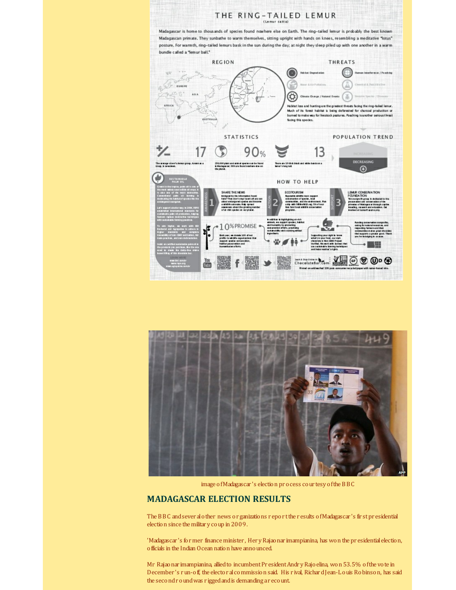



image ofMadagascar 's election pr ocess cour tesy ofthe BBC

## **MADAGASCAR ELECTION RESULTS**

The BBC andsever alother news or ganizations r epor tthe r esults ofMadagascar 's fir stpr esidential election since the militar y coup in 2009.

'Madagascar 's former finance minister , Her yRajaonar imampianina, has won the pr esidentialelection, officials in the Indian Ocean nation have announced.

Mr Rajaonar imampianina, allied to incumbent President Andry Rajoelina, won 53.5% of the vote in December 's run-off, the elector alcommission said. His r ival, RichardJean-Louis Robinson, has said the secondr oundwas r iggedandis demanding ar ecount.